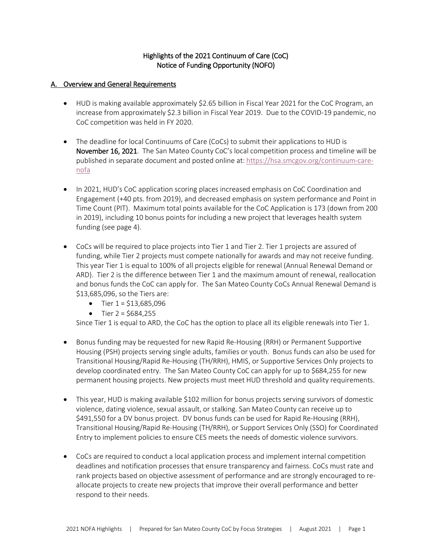# Highlights of the 2021 Continuum of Care (CoC) Notice of Funding Opportunity (NOFO)

#### A. Overview and General Requirements

- HUD is making available approximately \$2.65 billion in Fiscal Year 2021 for the CoC Program, an increase from approximately \$2.3 billion in Fiscal Year 2019. Due to the COVID-19 pandemic, no CoC competition was held in FY 2020.
- The deadline for local Continuums of Care (CoCs) to submit their applications to HUD is November 16, 2021. The San Mateo County CoC's local competition process and timeline will be published in separate document and posted online at[: https://hsa.smcgov.org/continuum-care](https://hsa.smcgov.org/continuum-care-nofa)[nofa](https://hsa.smcgov.org/continuum-care-nofa)
- In 2021, HUD's CoC application scoring places increased emphasis on CoC Coordination and Engagement (+40 pts. from 2019), and decreased emphasis on system performance and Point in Time Count (PIT). Maximum total points available for the CoC Application is 173 (down from 200 in 2019), including 10 bonus points for including a new project that leverages health system funding (see page 4).
- CoCs will be required to place projects into Tier 1 and Tier 2. Tier 1 projects are assured of funding, while Tier 2 projects must compete nationally for awards and may not receive funding. This year Tier 1 is equal to 100% of all projects eligible for renewal (Annual Renewal Demand or ARD). Tier 2 is the difference between Tier 1 and the maximum amount of renewal, reallocation and bonus funds the CoC can apply for. The San Mateo County CoCs Annual Renewal Demand is \$13,685,096, so the Tiers are:
	- Tier  $1 = $13,685,096$
	- Tier  $2 = $684,255$

Since Tier 1 is equal to ARD, the CoC has the option to place all its eligible renewals into Tier 1.

- Bonus funding may be requested for new Rapid Re-Housing (RRH) or Permanent Supportive Housing (PSH) projects serving single adults, families or youth. Bonus funds can also be used for Transitional Housing/Rapid Re-Housing (TH/RRH), HMIS, or Supportive Services Only projects to develop coordinated entry. The San Mateo County CoC can apply for up to \$684,255 for new permanent housing projects. New projects must meet HUD threshold and quality requirements.
- This year, HUD is making available \$102 million for bonus projects serving survivors of domestic violence, dating violence, sexual assault, or stalking. San Mateo County can receive up to \$491,550 for a DV bonus project. DV bonus funds can be used for Rapid Re-Housing (RRH), Transitional Housing/Rapid Re-Housing (TH/RRH), or Support Services Only (SSO) for Coordinated Entry to implement policies to ensure CES meets the needs of domestic violence survivors.
- CoCs are required to conduct a local application process and implement internal competition deadlines and notification processes that ensure transparency and fairness. CoCs must rate and rank projects based on objective assessment of performance and are strongly encouraged to reallocate projects to create new projects that improve their overall performance and better respond to their needs.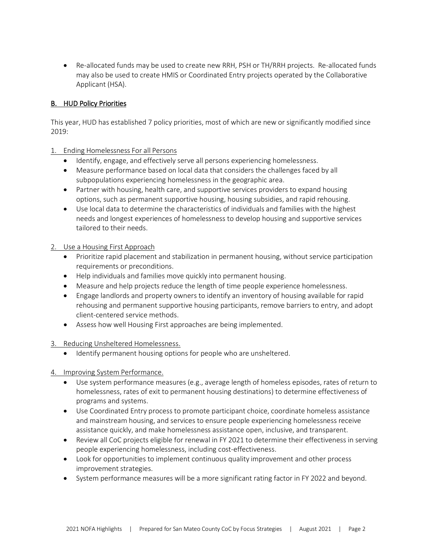• Re-allocated funds may be used to create new RRH, PSH or TH/RRH projects. Re-allocated funds may also be used to create HMIS or Coordinated Entry projects operated by the Collaborative Applicant (HSA).

# B. HUD Policy Priorities

This year, HUD has established 7 policy priorities, most of which are new or significantly modified since 2019:

### 1. Ending Homelessness For all Persons

- Identify, engage, and effectively serve all persons experiencing homelessness.
- Measure performance based on local data that considers the challenges faced by all subpopulations experiencing homelessness in the geographic area.
- Partner with housing, health care, and supportive services providers to expand housing options, such as permanent supportive housing, housing subsidies, and rapid rehousing.
- Use local data to determine the characteristics of individuals and families with the highest needs and longest experiences of homelessness to develop housing and supportive services tailored to their needs.

### 2. Use a Housing First Approach

- Prioritize rapid placement and stabilization in permanent housing, without service participation requirements or preconditions.
- Help individuals and families move quickly into permanent housing.
- Measure and help projects reduce the length of time people experience homelessness.
- Engage landlords and property owners to identify an inventory of housing available for rapid rehousing and permanent supportive housing participants, remove barriers to entry, and adopt client-centered service methods.
- Assess how well Housing First approaches are being implemented.
- 3. Reducing Unsheltered Homelessness.
	- Identify permanent housing options for people who are unsheltered.
- 4. Improving System Performance.
	- Use system performance measures (e.g., average length of homeless episodes, rates of return to homelessness, rates of exit to permanent housing destinations) to determine effectiveness of programs and systems.
	- Use Coordinated Entry process to promote participant choice, coordinate homeless assistance and mainstream housing, and services to ensure people experiencing homelessness receive assistance quickly, and make homelessness assistance open, inclusive, and transparent.
	- Review all CoC projects eligible for renewal in FY 2021 to determine their effectiveness in serving people experiencing homelessness, including cost-effectiveness.
	- Look for opportunities to implement continuous quality improvement and other process improvement strategies.
	- System performance measures will be a more significant rating factor in FY 2022 and beyond.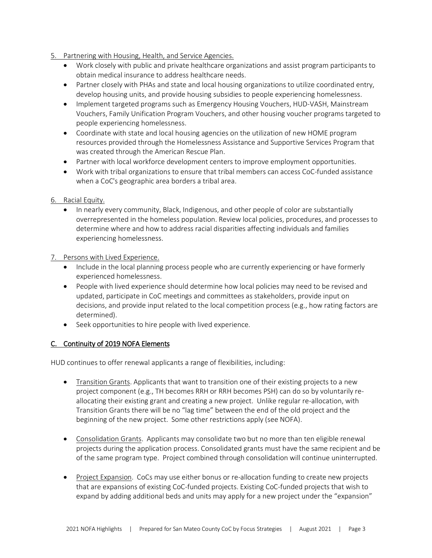- 5. Partnering with Housing, Health, and Service Agencies.
	- Work closely with public and private healthcare organizations and assist program participants to obtain medical insurance to address healthcare needs.
	- Partner closely with PHAs and state and local housing organizations to utilize coordinated entry, develop housing units, and provide housing subsidies to people experiencing homelessness.
	- Implement targeted programs such as Emergency Housing Vouchers, HUD-VASH, Mainstream Vouchers, Family Unification Program Vouchers, and other housing voucher programs targeted to people experiencing homelessness.
	- Coordinate with state and local housing agencies on the utilization of new HOME program resources provided through the Homelessness Assistance and Supportive Services Program that was created through the American Rescue Plan.
	- Partner with local workforce development centers to improve employment opportunities.
	- Work with tribal organizations to ensure that tribal members can access CoC-funded assistance when a CoC's geographic area borders a tribal area.

### 6. Racial Equity.

• In nearly every community, Black, Indigenous, and other people of color are substantially overrepresented in the homeless population. Review local policies, procedures, and processes to determine where and how to address racial disparities affecting individuals and families experiencing homelessness.

### 7. Persons with Lived Experience.

- Include in the local planning process people who are currently experiencing or have formerly experienced homelessness.
- People with lived experience should determine how local policies may need to be revised and updated, participate in CoC meetings and committees as stakeholders, provide input on decisions, and provide input related to the local competition process (e.g., how rating factors are determined).
- Seek opportunities to hire people with lived experience.

### C. Continuity of 2019 NOFA Elements

HUD continues to offer renewal applicants a range of flexibilities, including:

- Transition Grants. Applicants that want to transition one of their existing projects to a new project component (e.g., TH becomes RRH or RRH becomes PSH) can do so by voluntarily reallocating their existing grant and creating a new project. Unlike regular re-allocation, with Transition Grants there will be no "lag time" between the end of the old project and the beginning of the new project. Some other restrictions apply (see NOFA).
- Consolidation Grants. Applicants may consolidate two but no more than ten eligible renewal projects during the application process. Consolidated grants must have the same recipient and be of the same program type. Project combined through consolidation will continue uninterrupted.
- Project Expansion. CoCs may use either bonus or re-allocation funding to create new projects that are expansions of existing CoC-funded projects. Existing CoC-funded projects that wish to expand by adding additional beds and units may apply for a new project under the "expansion"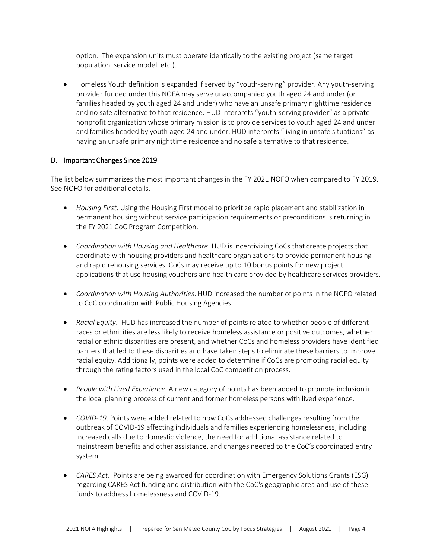option. The expansion units must operate identically to the existing project (same target population, service model, etc.).

• Homeless Youth definition is expanded if served by "youth-serving" provider. Any youth-serving provider funded under this NOFA may serve unaccompanied youth aged 24 and under (or families headed by youth aged 24 and under) who have an unsafe primary nighttime residence and no safe alternative to that residence. HUD interprets "youth-serving provider" as a private nonprofit organization whose primary mission is to provide services to youth aged 24 and under and families headed by youth aged 24 and under. HUD interprets "living in unsafe situations" as having an unsafe primary nighttime residence and no safe alternative to that residence.

### D. Important Changes Since 2019

The list below summarizes the most important changes in the FY 2021 NOFO when compared to FY 2019. See NOFO for additional details.

- *Housing First*. Using the Housing First model to prioritize rapid placement and stabilization in permanent housing without service participation requirements or preconditions is returning in the FY 2021 CoC Program Competition.
- *Coordination with Housing and Healthcare*. HUD is incentivizing CoCs that create projects that coordinate with housing providers and healthcare organizations to provide permanent housing and rapid rehousing services. CoCs may receive up to 10 bonus points for new project applications that use housing vouchers and health care provided by healthcare services providers.
- *Coordination with Housing Authorities*. HUD increased the number of points in the NOFO related to CoC coordination with Public Housing Agencies
- *Racial Equity*. HUD has increased the number of points related to whether people of different races or ethnicities are less likely to receive homeless assistance or positive outcomes, whether racial or ethnic disparities are present, and whether CoCs and homeless providers have identified barriers that led to these disparities and have taken steps to eliminate these barriers to improve racial equity. Additionally, points were added to determine if CoCs are promoting racial equity through the rating factors used in the local CoC competition process.
- *People with Lived Experience*. A new category of points has been added to promote inclusion in the local planning process of current and former homeless persons with lived experience.
- *COVID-19*. Points were added related to how CoCs addressed challenges resulting from the outbreak of COVID-19 affecting individuals and families experiencing homelessness, including increased calls due to domestic violence, the need for additional assistance related to mainstream benefits and other assistance, and changes needed to the CoC's coordinated entry system.
- *CARES Act*. Points are being awarded for coordination with Emergency Solutions Grants (ESG) regarding CARES Act funding and distribution with the CoC's geographic area and use of these funds to address homelessness and COVID-19.